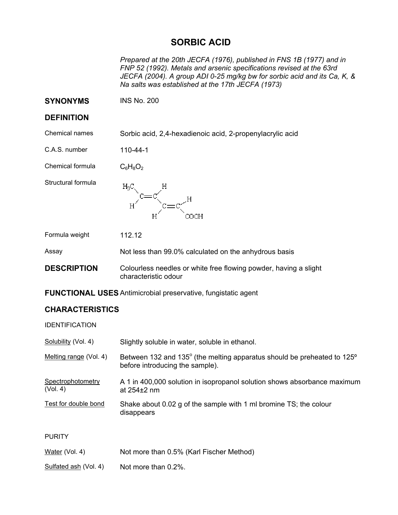## **SORBIC ACID**

*Prepared at the 20th JECFA (1976), published in FNS 1B (1977) and in FNP 52 (1992). Metals and arsenic specifications revised at the 63rd JECFA (2004). A group ADI 0-25 mg/kg bw for sorbic acid and its Ca, K, & Na salts was established at the 17th JECFA (1973)* 

**SYNONYMS** INS No. 200

## **DEFINITION**

Chemical names Sorbic acid, 2,4-hexadienoic acid, 2-propenylacrylic acid

C.A.S. number 110-44-1

Chemical formula  $C_6H_8O_2$ 

Structural formula



Formula weight 112.12

Assay Not less than 99.0% calculated on the anhydrous basis

**DESCRIPTION** Colourless needles or white free flowing powder, having a slight characteristic odour

**FUNCTIONAL USES**Antimicrobial preservative, fungistatic agent

## **CHARACTERISTICS**

IDENTIFICATION

| Solubility (Vol. 4)           | Slightly soluble in water, soluble in ethanol.                                                             |
|-------------------------------|------------------------------------------------------------------------------------------------------------|
| Melting range (Vol. 4)        | Between 132 and 135° (the melting apparatus should be preheated to 125°<br>before introducing the sample). |
| Spectrophotometry<br>(Vol. 4) | A 1 in 400,000 solution in isopropanol solution shows absorbance maximum<br>at $254\pm2$ nm                |
| Test for double bond          | Shake about 0.02 g of the sample with 1 ml bromine TS; the colour<br>disappears                            |
| <b>PURITY</b>                 |                                                                                                            |
| Water (Vol. 4)                | Not more than 0.5% (Karl Fischer Method)                                                                   |

Sulfated ash (Vol. 4) Not more than  $0.2\%$ .